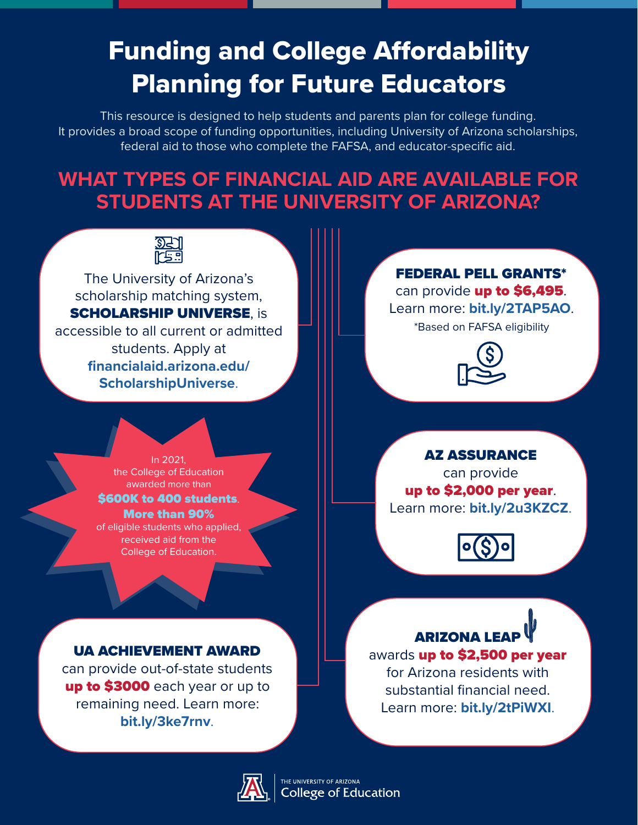# **Funding and College Affordability** Planning for Future Educators

This resource is designed to help students and parents plan for college funding. It provides a broad scope of funding opportunities, including University of Arizona scholarships, federal aid to those who complete the FAFSA, and educator-specifc aid.

# **WHAT TYPES OF FINANCIAL AID ARE AVAILABLE FOR STUDENTS AT THE UNIVERSITY OF ARIZONA?**



The University of Arizona's scholarship matching system, **SCHOLARSHIP UNIVERSE, is** accessible to all current or admitted students. Apply at **[fnancialaid.arizona.edu/](http://financialaid.arizona.edu/ScholarshipUniverse)  [ScholarshipUniverse](http://financialaid.arizona.edu/ScholarshipUniverse)**.



#### \$600K to 400 students. More than 90%

of eligible students who applied, received aid from the College of Education.

### FEDERAL PELL GRANTS\*

can provide up to \$6,495. Learn more: **[bit.ly/2TAP5AO](http://bit.ly/2TAP5AO)**. \*Based on FAFSA eligibility



### AZ ASSURANCE

can provide up to \$2,000 per year. Learn more: **[bit.ly/2u3KZCZ](http://www.bit.ly/2u3KZCZ)**.



### UA ACHIEVEMENT AWARD

can provide out-of-state students up to \$3000 each year or up to remaining need. Learn more: **[bit.ly/3ke7rnv](https://bit.ly/3ke7rnv)**.

awards **up to \$2,500 per year** for Arizona residents with substantial fnancial need. Learn more: **[bit.ly/2tPiWXI](http://www.bit.ly/2tPiWXI)**.

**ARIZONA LEA**